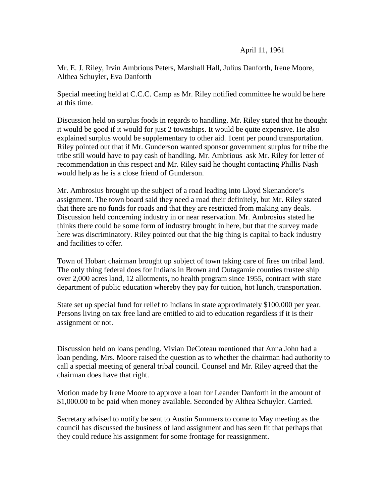Mr. E. J. Riley, Irvin Ambrious Peters, Marshall Hall, Julius Danforth, Irene Moore, Althea Schuyler, Eva Danforth

Special meeting held at C.C.C. Camp as Mr. Riley notified committee he would be here at this time.

Discussion held on surplus foods in regards to handling. Mr. Riley stated that he thought it would be good if it would for just 2 townships. It would be quite expensive. He also explained surplus would be supplementary to other aid. 1cent per pound transportation. Riley pointed out that if Mr. Gunderson wanted sponsor government surplus for tribe the tribe still would have to pay cash of handling. Mr. Ambrious ask Mr. Riley for letter of recommendation in this respect and Mr. Riley said he thought contacting Phillis Nash would help as he is a close friend of Gunderson.

Mr. Ambrosius brought up the subject of a road leading into Lloyd Skenandore's assignment. The town board said they need a road their definitely, but Mr. Riley stated that there are no funds for roads and that they are restricted from making any deals. Discussion held concerning industry in or near reservation. Mr. Ambrosius stated he thinks there could be some form of industry brought in here, but that the survey made here was discriminatory. Riley pointed out that the big thing is capital to back industry and facilities to offer.

Town of Hobart chairman brought up subject of town taking care of fires on tribal land. The only thing federal does for Indians in Brown and Outagamie counties trustee ship over 2,000 acres land, 12 allotments, no health program since 1955, contract with state department of public education whereby they pay for tuition, hot lunch, transportation.

State set up special fund for relief to Indians in state approximately \$100,000 per year. Persons living on tax free land are entitled to aid to education regardless if it is their assignment or not.

Discussion held on loans pending. Vivian DeCoteau mentioned that Anna John had a loan pending. Mrs. Moore raised the question as to whether the chairman had authority to call a special meeting of general tribal council. Counsel and Mr. Riley agreed that the chairman does have that right.

Motion made by Irene Moore to approve a loan for Leander Danforth in the amount of \$1,000.00 to be paid when money available. Seconded by Althea Schuyler. Carried.

Secretary advised to notify be sent to Austin Summers to come to May meeting as the council has discussed the business of land assignment and has seen fit that perhaps that they could reduce his assignment for some frontage for reassignment.